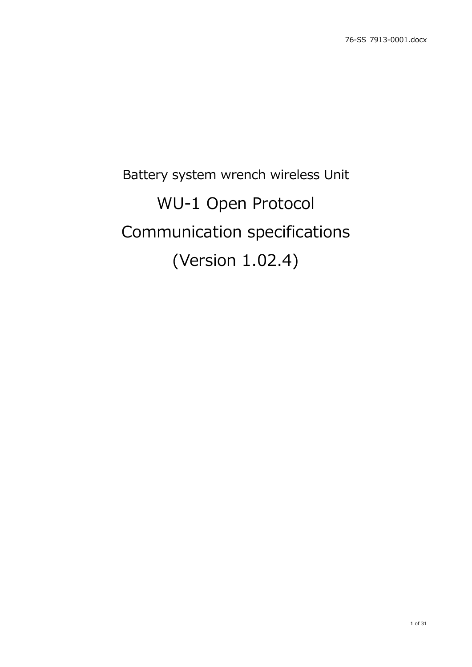# Battery system wrench wireless Unit WU-1 Open Protocol Communication specifications (Version 1.02.4)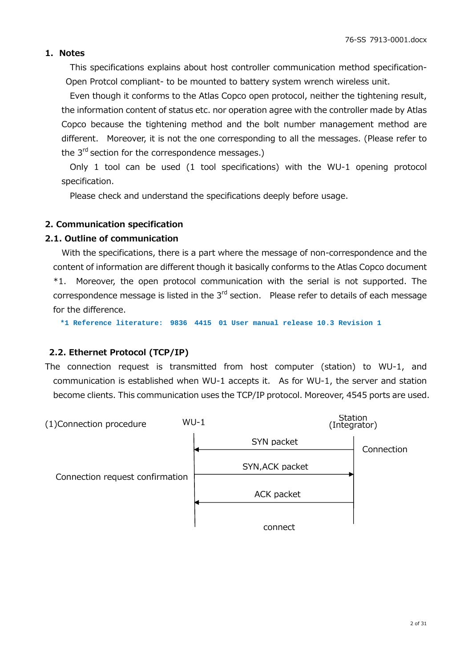#### **1. Notes**

This specifications explains about host controller communication method specification-Open Protcol compliant- to be mounted to battery system wrench wireless unit.

Even though it conforms to the Atlas Copco open protocol, neither the tightening result, the information content of status etc. nor operation agree with the controller made by Atlas Copco because the tightening method and the bolt number management method are different. Moreover, it is not the one corresponding to all the messages. (Please refer to the  $3<sup>rd</sup>$  section for the correspondence messages.)

Only 1 tool can be used (1 tool specifications) with the WU-1 opening protocol specification.

Please check and understand the specifications deeply before usage.

#### **2. Communication specification**

#### **2.1. Outline of communication**

With the specifications, there is a part where the message of non-correspondence and the content of information are different though it basically conforms to the Atlas Copco document \*1. Moreover, the open protocol communication with the serial is not supported. The correspondence message is listed in the  $3<sup>rd</sup>$  section. Please refer to details of each message for the difference.

**\*1 Reference literature: 9836 4415 01 User manual release 10.3 Revision 1**

### **2.2. Ethernet Protocol (TCP/IP)**

The connection request is transmitted from host computer (station) to WU-1, and communication is established when WU-1 accepts it. As for WU-1, the server and station become clients. This communication uses the TCP/IP protocol. Moreover, 4545 ports are used.

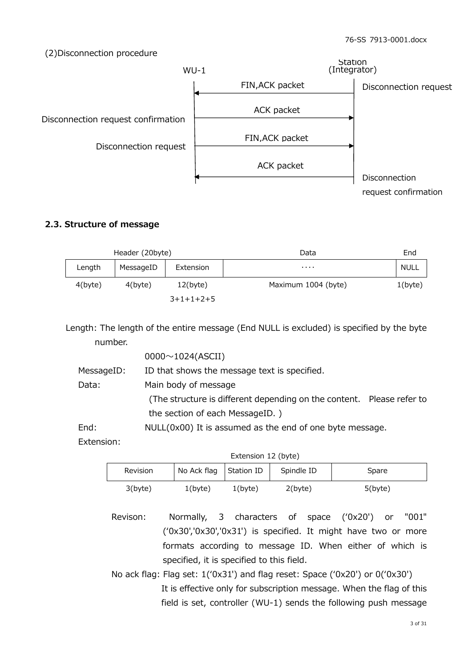(2)Disconnection procedure



# **2.3. Structure of message**

|            | Header (20byte) |             | Data                | End         |
|------------|-----------------|-------------|---------------------|-------------|
| Length     | MessageID       | Extension   | $\cdots$            | <b>NULL</b> |
| $4$ (byte) | $4$ (byte)      | $12$ (byte) | Maximum 1004 (byte) | $1$ (byte)  |
|            |                 | $3+1+1+2+5$ |                     |             |

Length: The length of the entire message (End NULL is excluded) is specified by the byte number.

|            | $0000 \sim 1024$ (ASCII)                                              |
|------------|-----------------------------------------------------------------------|
| MessageID: | ID that shows the message text is specified.                          |
| Data:      | Main body of message                                                  |
|            | (The structure is different depending on the content. Please refer to |
|            | the section of each MessageID.)                                       |
| End:       | NULL(0x00) It is assumed as the end of one byte message.              |

Extension:

| Extension 12 (byte)                                                 |            |            |            |            |  |  |  |
|---------------------------------------------------------------------|------------|------------|------------|------------|--|--|--|
| No Ack flag<br>Station ID<br>Spindle ID<br><b>Revision</b><br>Spare |            |            |            |            |  |  |  |
| 3(byte)                                                             | $1$ (byte) | $1$ (byte) | $2$ (byte) | $5$ (byte) |  |  |  |

Revison: Normally, 3 characters of space (ʻ0x20') or "001" (ʻ0x30','0x30','0x31') is specified. It might have two or more formats according to message ID. When either of which is specified, it is specified to this field.

No ack flag: Flag set: 1(ʻ0x31') and flag reset: Space (ʻ0x20') or 0(ʻ0x30') It is effective only for subscription message. When the flag of this field is set, controller (WU-1) sends the following push message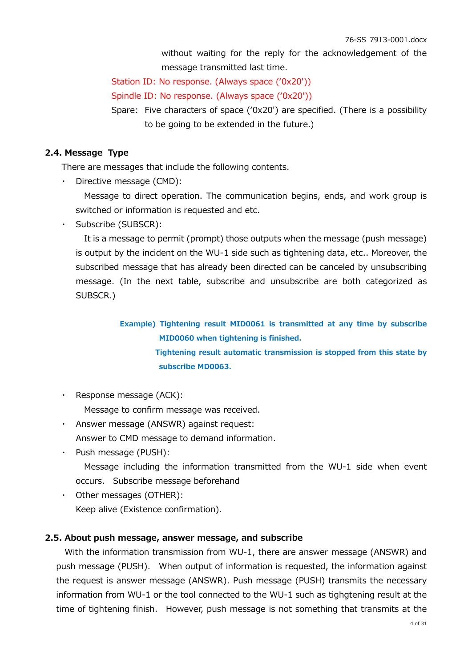without waiting for the reply for the acknowledgement of the message transmitted last time.

Station ID: No response. (Always space (ʻ0x20'))

Spindle ID: No response. (Always space (ʻ0x20'))

Spare: Five characters of space (ʻ0x20') are specified. (There is a possibility to be going to be extended in the future.)

## **2.4. Message Type**

There are messages that include the following contents.

・ Directive message (CMD):

Message to direct operation. The communication begins, ends, and work group is switched or information is requested and etc.

Subscribe (SUBSCR):

It is a message to permit (prompt) those outputs when the message (push message) is output by the incident on the WU-1 side such as tightening data, etc.. Moreover, the subscribed message that has already been directed can be canceled by unsubscribing message. (In the next table, subscribe and unsubscribe are both categorized as SUBSCR.)

> **Example) Tightening result MID0061 is transmitted at any time by subscribe MID0060 when tightening is finished. Tightening result automatic transmission is stopped from this state by subscribe MD0063.**

・ Response message (ACK):

Message to confirm message was received.

- Answer message (ANSWR) against request: Answer to CMD message to demand information.
- ・ Push message (PUSH): Message including the information transmitted from the WU-1 side when event occurs. Subscribe message beforehand
- ・ Other messages (OTHER): Keep alive (Existence confirmation).

# **2.5. About push message, answer message, and subscribe**

With the information transmission from WU-1, there are answer message (ANSWR) and push message (PUSH). When output of information is requested, the information against the request is answer message (ANSWR). Push message (PUSH) transmits the necessary information from WU-1 or the tool connected to the WU-1 such as tighgtening result at the time of tightening finish. However, push message is not something that transmits at the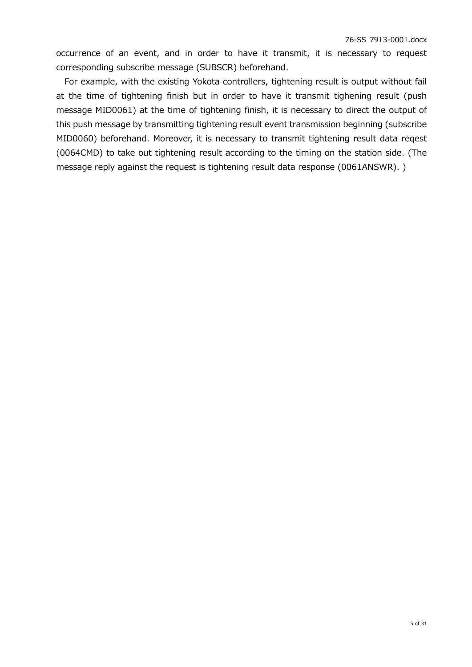occurrence of an event, and in order to have it transmit, it is necessary to request corresponding subscribe message (SUBSCR) beforehand.

For example, with the existing Yokota controllers, tightening result is output without fail at the time of tightening finish but in order to have it transmit tighening result (push message MID0061) at the time of tightening finish, it is necessary to direct the output of this push message by transmitting tightening result event transmission beginning (subscribe MID0060) beforehand. Moreover, it is necessary to transmit tightening result data reqest (0064CMD) to take out tightening result according to the timing on the station side. (The message reply against the request is tightening result data response (0061ANSWR). )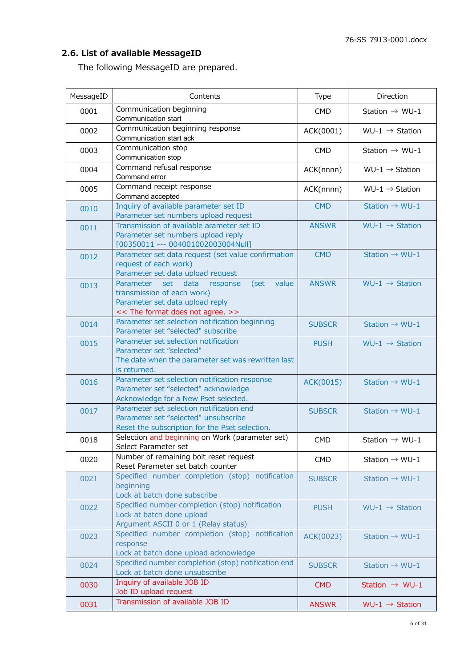# **2.6. List of available MessageID**

The following MessageID are prepared.

| MessageID | Contents                                                                                                                                                | Type          | Direction                  |
|-----------|---------------------------------------------------------------------------------------------------------------------------------------------------------|---------------|----------------------------|
| 0001      | Communication beginning<br>Communication start                                                                                                          | <b>CMD</b>    | Station $\rightarrow$ WU-1 |
| 0002      | Communication beginning response<br>Communication start ack                                                                                             | ACK(0001)     | $WU-1 \rightarrow$ Station |
| 0003      | Communication stop<br>Communication stop                                                                                                                | <b>CMD</b>    | Station $\rightarrow$ WU-1 |
| 0004      | Command refusal response<br>Command error                                                                                                               | ACK(nnnn)     | WU-1 $\rightarrow$ Station |
| 0005      | Command receipt response<br>Command accepted                                                                                                            | ACK(nnnn)     | $WU-1 \rightarrow$ Station |
| 0010      | Inquiry of available parameter set ID<br>Parameter set numbers upload request                                                                           | <b>CMD</b>    | Station $\rightarrow$ WU-1 |
| 0011      | Transmission of available arameter set ID<br>Parameter set numbers upload reply<br>[00350011 --- 004001002003004Null]                                   | <b>ANSWR</b>  | $WU-1 \rightarrow$ Station |
| 0012      | Parameter set data request (set value confirmation<br>request of each work)<br>Parameter set data upload request                                        | <b>CMD</b>    | Station $\rightarrow$ WU-1 |
| 0013      | data<br>value<br>Parameter set<br>response<br>(set<br>transmission of each work)<br>Parameter set data upload reply<br><< The format does not agree. >> | <b>ANSWR</b>  | $WU-1 \rightarrow$ Station |
| 0014      | Parameter set selection notification beginning<br>Parameter set "selected" subscribe                                                                    | <b>SUBSCR</b> | Station $\rightarrow$ WU-1 |
| 0015      | Parameter set selection notification<br>Parameter set "selected"<br>The date when the parameter set was rewritten last<br>is returned.                  | <b>PUSH</b>   | WU-1 $\rightarrow$ Station |
| 0016      | Parameter set selection notification response<br>Parameter set "selected" acknowledge<br>Acknowledge for a New Pset selected.                           | ACK(0015)     | Station $\rightarrow$ WU-1 |
| 0017      | Parameter set selection notification end<br>Parameter set "selected" unsubscribe<br>Reset the subscription for the Pset selection.                      | <b>SUBSCR</b> | Station $\rightarrow$ WU-1 |
| 0018      | Selection and beginning on Work (parameter set)<br>Select Parameter set                                                                                 | <b>CMD</b>    | Station $\rightarrow$ WU-1 |
| 0020      | Number of remaining bolt reset request<br>Reset Parameter set batch counter                                                                             | <b>CMD</b>    | Station $\rightarrow$ WU-1 |
| 0021      | Specified number completion (stop) notification<br>beginning<br>Lock at batch done subscribe                                                            | <b>SUBSCR</b> | Station $\rightarrow$ WU-1 |
| 0022      | Specified number completion (stop) notification<br>Lock at batch done upload<br>Argument ASCII 0 or 1 (Relay status)                                    | <b>PUSH</b>   | $WU-1 \rightarrow$ Station |
| 0023      | Specified number completion (stop) notification<br>response<br>Lock at batch done upload acknowledge                                                    | ACK(0023)     | Station $\rightarrow$ WU-1 |
| 0024      | Specified number completion (stop) notification end<br>Lock at batch done unsubscribe                                                                   | <b>SUBSCR</b> | Station $\rightarrow$ WU-1 |
| 0030      | Inquiry of available JOB ID<br>Job ID upload request                                                                                                    | <b>CMD</b>    | Station $\rightarrow$ WU-1 |
| 0031      | Transmission of available JOB ID                                                                                                                        | <b>ANSWR</b>  | $WU-1 \rightarrow$ Station |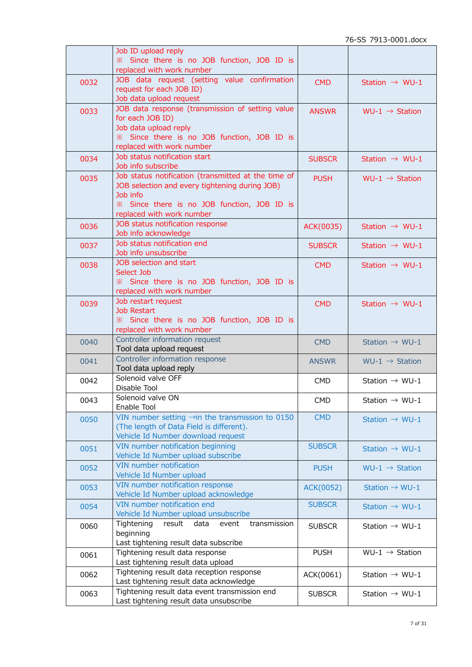|      | Job ID upload reply                                                                      |               |                            |
|------|------------------------------------------------------------------------------------------|---------------|----------------------------|
|      | % Since there is no JOB function, JOB ID is                                              |               |                            |
|      | replaced with work number                                                                |               |                            |
| 0032 | JOB data request (setting value confirmation                                             | <b>CMD</b>    | Station $\rightarrow$ WU-1 |
|      | request for each JOB ID)                                                                 |               |                            |
|      | Job data upload request                                                                  |               |                            |
| 0033 | JOB data response (transmission of setting value<br>for each JOB ID)                     | <b>ANSWR</b>  | WU-1 $\rightarrow$ Station |
|      |                                                                                          |               |                            |
|      | Job data upload reply                                                                    |               |                            |
|      | % Since there is no JOB function, JOB ID is                                              |               |                            |
|      | replaced with work number<br>Job status notification start                               |               |                            |
| 0034 | Job info subscribe                                                                       | <b>SUBSCR</b> | Station $\rightarrow$ WU-1 |
|      | Job status notification (transmitted at the time of                                      |               |                            |
| 0035 | JOB selection and every tightening during JOB)                                           | <b>PUSH</b>   | WU-1 $\rightarrow$ Station |
|      | Job info                                                                                 |               |                            |
|      | * Since there is no JOB function, JOB ID is                                              |               |                            |
|      | replaced with work number                                                                |               |                            |
|      | JOB status notification response                                                         |               |                            |
| 0036 | Job info acknowledge                                                                     | ACK(0035)     | Station $\rightarrow$ WU-1 |
|      | Job status notification end                                                              |               |                            |
| 0037 | Job info unsubscribe                                                                     | <b>SUBSCR</b> | Station $\rightarrow$ WU-1 |
|      | JOB selection and start                                                                  |               |                            |
| 0038 | Select Job                                                                               | <b>CMD</b>    | Station $\rightarrow$ WU-1 |
|      | * Since there is no JOB function, JOB ID is                                              |               |                            |
|      | replaced with work number                                                                |               |                            |
| 0039 | Job restart request                                                                      | <b>CMD</b>    | Station $\rightarrow$ WU-1 |
|      | <b>Job Restart</b>                                                                       |               |                            |
|      | * Since there is no JOB function, JOB ID is                                              |               |                            |
|      | replaced with work number                                                                |               |                            |
| 0040 | Controller information request                                                           | <b>CMD</b>    | Station $\rightarrow$ WU-1 |
|      | Tool data upload request                                                                 |               |                            |
| 0041 | Controller information response                                                          | <b>ANSWR</b>  | $WU-1 \rightarrow$ Station |
|      |                                                                                          |               |                            |
|      | Tool data upload reply                                                                   |               |                            |
| 0042 | Solenoid valve OFF                                                                       | <b>CMD</b>    | Station $\rightarrow$ WU-1 |
|      | Disable Tool                                                                             |               |                            |
| 0043 | Solenoid valve ON                                                                        | <b>CMD</b>    | Station $\rightarrow$ WU-1 |
|      | Enable Tool                                                                              |               |                            |
| 0050 | VIN number setting $\rightarrow$ in the transmission to 0150                             | <b>CMD</b>    | Station $\rightarrow$ WU-1 |
|      | (The length of Data Field is different).                                                 |               |                            |
|      | Vehicle Id Number download request                                                       |               |                            |
| 0051 | VIN number notification beginning                                                        | <b>SUBSCR</b> | Station $\rightarrow$ WU-1 |
|      | Vehicle Id Number upload subscribe                                                       |               |                            |
| 0052 | VIN number notification                                                                  | <b>PUSH</b>   | WU-1 $\rightarrow$ Station |
|      | Vehicle Id Number upload                                                                 |               |                            |
| 0053 | VIN number notification response                                                         | ACK(0052)     | Station $\rightarrow$ WU-1 |
|      | Vehicle Id Number upload acknowledge                                                     |               |                            |
| 0054 | VIN number notification end                                                              | <b>SUBSCR</b> | Station $\rightarrow$ WU-1 |
|      | Vehicle Id Number upload unsubscribe                                                     |               |                            |
| 0060 | Tightening<br>result<br>data<br>event<br>transmission                                    | <b>SUBSCR</b> | Station $\rightarrow$ WU-1 |
|      | beginning                                                                                |               |                            |
|      | Last tightening result data subscribe                                                    |               |                            |
| 0061 | Tightening result data response                                                          | <b>PUSH</b>   | $WU-1 \rightarrow$ Station |
|      | Last tightening result data upload                                                       |               |                            |
| 0062 | Tightening result data reception response                                                | ACK(0061)     | Station $\rightarrow$ WU-1 |
| 0063 | Last tightening result data acknowledge<br>Tightening result data event transmission end | <b>SUBSCR</b> | Station $\rightarrow$ WU-1 |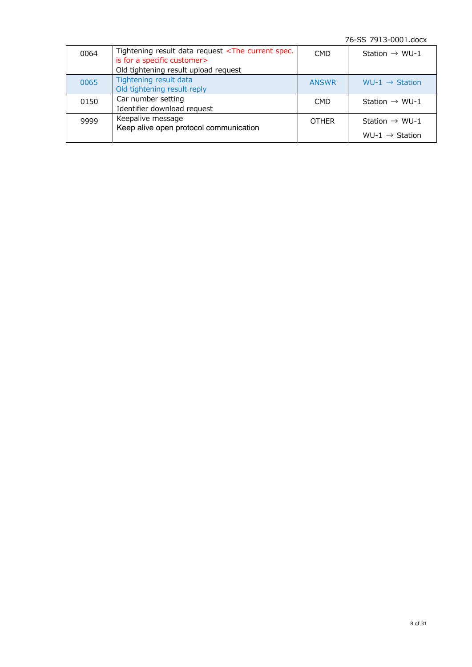76-SS 7913-0001.docx

| 0064 | Tightening result data request <the current="" spec.<br="">is for a specific customer&gt;<br/>Old tightening result upload request</the> | <b>CMD</b>   | Station $\rightarrow$ WU-1                               |
|------|------------------------------------------------------------------------------------------------------------------------------------------|--------------|----------------------------------------------------------|
| 0065 | Tightening result data<br>Old tightening result reply                                                                                    | <b>ANSWR</b> | WU-1 $\rightarrow$ Station                               |
| 0150 | Car number setting<br>Identifier download request                                                                                        | <b>CMD</b>   | Station $\rightarrow$ WU-1                               |
| 9999 | Keepalive message<br>Keep alive open protocol communication                                                                              | <b>OTHER</b> | Station $\rightarrow$ WU-1<br>WU-1 $\rightarrow$ Station |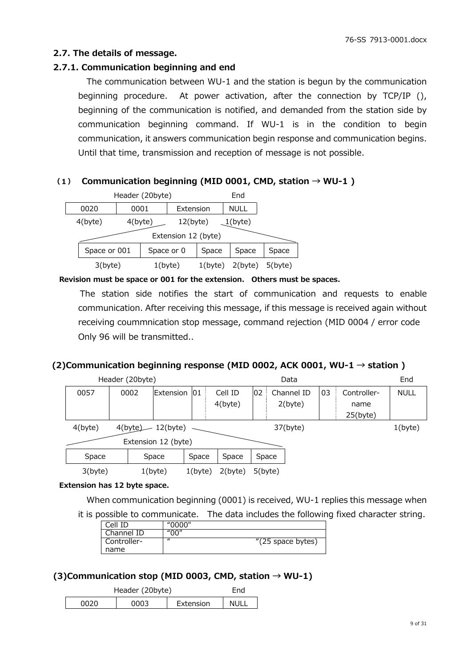## **2.7. The details of message.**

## **2.7.1. Communication beginning and end**

The communication between WU-1 and the station is begun by the communication beginning procedure. At power activation, after the connection by TCP/IP (), beginning of the communication is notified, and demanded from the station side by communication beginning command. If WU-1 is in the condition to begin communication, it answers communication begin response and communication begins. Until that time, transmission and reception of message is not possible.

## **(1) Communication beginning (MID 0001, CMD, station → WU-1 )**

| Header (20byte)     |              |            |  |            |             | End         |            |
|---------------------|--------------|------------|--|------------|-------------|-------------|------------|
|                     | 0020         | 0001       |  |            | Extension   | <b>NULL</b> |            |
|                     | $4$ (byte)   | $4$ (byte) |  |            | $12$ (byte) | $1$ (byte)  |            |
| Extension 12 (byte) |              |            |  |            |             |             |            |
|                     | Space or 001 |            |  | Space or 0 |             | Space       | Space      |
|                     | $3$ (byte)   |            |  | $1$ (byte) | $1$ (byte)  | 2(byte)     | $5$ (byte) |

**Revision must be space or 001 for the extension. Others must be spaces.** 

 The station side notifies the start of communication and requests to enable communication. After receiving this message, if this message is received again without receiving coummnication stop message, command rejection (MID 0004 / error code Only 96 will be transmitted..

#### **(2)Communication beginning response (MID 0002, ACK 0001, WU-1 → station )**

| Header (20byte)                |         |  |      |            | Data       |         |            |             | End        |    |             |             |
|--------------------------------|---------|--|------|------------|------------|---------|------------|-------------|------------|----|-------------|-------------|
|                                | 0057    |  | 0002 | Extension  | 01         | Cell ID | 02         |             | Channel ID | 03 | Controller- | <b>NULL</b> |
|                                |         |  |      |            |            | 4(byte) |            |             | 2(byte)    |    | name        |             |
|                                |         |  |      |            |            |         |            |             |            |    | $25$ (byte) |             |
| 4(byte)<br>4(byte)<br>12(byte) |         |  |      |            |            |         |            | $37$ (byte) |            |    | $1$ (byte)  |             |
| Extension 12 (byte)            |         |  |      |            |            |         |            |             |            |    |             |             |
|                                | Space   |  |      | Space      | Space      | Space   | Space      |             |            |    |             |             |
|                                | 3(byte) |  |      | $1$ (byte) | $1$ (byte) | 2(byte) | $5$ (byte) |             |            |    |             |             |

#### **Extension has 12 byte space.**

When communication beginning (0001) is received, WU-1 replies this message when

it is possible to communicate. The data includes the following fixed character string.

| Cell ID     | "0000"   |                   |
|-------------|----------|-------------------|
| Channel ID  | "00"     |                   |
| Controller- | $\prime$ | "(25 space bytes) |
| name        |          |                   |

## **(3)Communication stop (MID 0003, CMD, station → WU-1)**

|      | Header (20byte) | Fnd       |      |
|------|-----------------|-----------|------|
| 0020 | 0003            | Extension | NULL |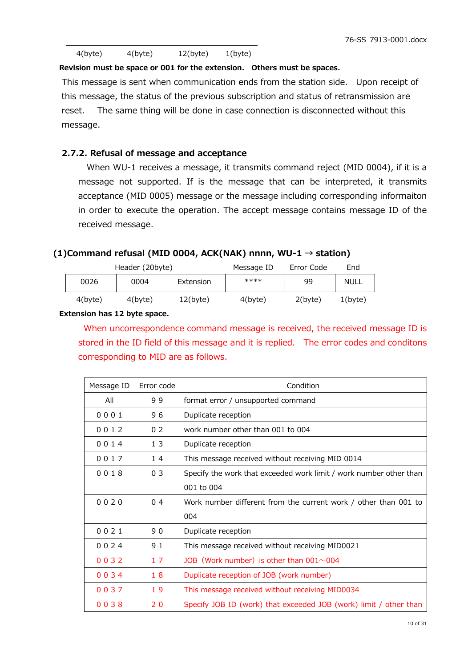| $4$ (byte) | 4(byte) | $12$ (byte) | $1$ (byte) |
|------------|---------|-------------|------------|
|------------|---------|-------------|------------|

**Revision must be space or 001 for the extension. Others must be spaces.** 

This message is sent when communication ends from the station side. Upon receipt of this message, the status of the previous subscription and status of retransmission are reset. The same thing will be done in case connection is disconnected without this message.

#### **2.7.2. Refusal of message and acceptance**

When WU-1 receives a message, it transmits command reject (MID 0004), if it is a message not supported. If is the message that can be interpreted, it transmits acceptance (MID 0005) message or the message including corresponding informaiton in order to execute the operation. The accept message contains message ID of the received message.

#### **(1)Command refusal (MID 0004, ACK(NAK) nnnn, WU-1 → station)**

|            | Header (20byte) |           | Message ID | Error Code | End        |
|------------|-----------------|-----------|------------|------------|------------|
| 0026       | 0004            | Extension | ****       | 99         | NULL       |
| $4$ (byte) | $4$ (byte)      | 12(b)     | $4$ (byte) | $2$ (byte) | $1$ (byte) |

#### **Extension has 12 byte space.**

When uncorrespondence command message is received, the received message ID is stored in the ID field of this message and it is replied. The error codes and conditons corresponding to MID are as follows.

| Message ID | Error code     | Condition                                                          |
|------------|----------------|--------------------------------------------------------------------|
| All        | 99             | format error / unsupported command                                 |
| 0001       | 96             | Duplicate reception                                                |
| 0012       | 0 <sub>2</sub> | work number other than 001 to 004                                  |
| 0014       | 13             | Duplicate reception                                                |
| 0017       | 14             | This message received without receiving MID 0014                   |
| 0018       | 0 <sub>3</sub> | Specify the work that exceeded work limit / work number other than |
|            |                | 001 to 004                                                         |
| 0020       | 0 <sub>4</sub> | Work number different from the current work / other than 001 to    |
|            |                | 004                                                                |
| 0021       | 90             | Duplicate reception                                                |
| 0024       | 91             | This message received without receiving MID0021                    |
| 0032       | 17             | JOB (Work number) is other than $001 \sim 004$                     |
| 0034       | 18             | Duplicate reception of JOB (work number)                           |
| 0037       | 19             | This message received without receiving MID0034                    |
| 0038       | 20             | Specify JOB ID (work) that exceeded JOB (work) limit / other than  |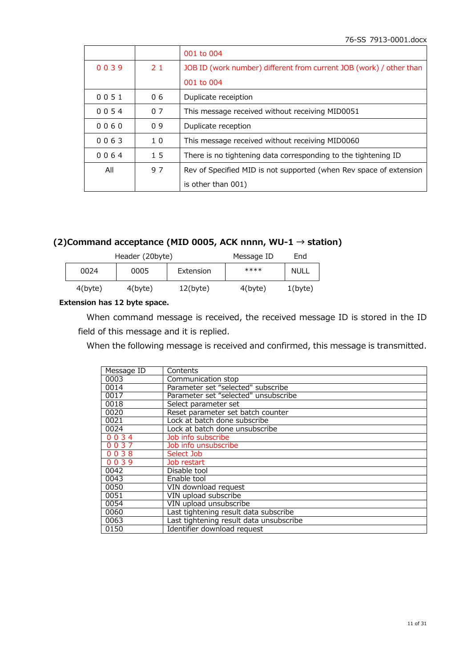|      |                | 001 to 004                                                          |
|------|----------------|---------------------------------------------------------------------|
| 0039 | 21             | JOB ID (work number) different from current JOB (work) / other than |
|      |                | 001 to 004                                                          |
| 0051 | 06             | Duplicate receiption                                                |
| 0054 | 0.7            | This message received without receiving MID0051                     |
| 0060 | 09             | Duplicate reception                                                 |
| 0063 | 1 <sub>0</sub> | This message received without receiving MID0060                     |
| 0064 | 1 <sub>5</sub> | There is no tightening data corresponding to the tightening ID      |
| All  | 97             | Rev of Specified MID is not supported (when Rev space of extension  |
|      |                | is other than 001)                                                  |

# **(2)Command acceptance (MID 0005, ACK nnnn, WU-1 → station)**

|            | Header (20byte) | Message ID  | End        |             |
|------------|-----------------|-------------|------------|-------------|
| 0024       | 0005            | Extension   | ****       | <b>NULL</b> |
| $4$ (byte) | $4$ (byte)      | $12$ (byte) | $4$ (byte) | $1$ (byte)  |

#### **Extension has 12 byte space.**

When command message is received, the received message ID is stored in the ID field of this message and it is replied.

When the following message is received and confirmed, this message is transmitted.

| Message ID | Contents                                |
|------------|-----------------------------------------|
| 0003       | Communication stop                      |
| 0014       | Parameter set "selected" subscribe      |
| 0017       | Parameter set "selected" unsubscribe    |
| 0018       | Select parameter set                    |
| 0020       | Reset parameter set batch counter       |
| 0021       | Lock at batch done subscribe            |
| 0024       | Lock at batch done unsubscribe          |
| 0034       | Job info subscribe                      |
| 0037       | Job info unsubscribe                    |
| 0038       | Select Job                              |
| 0039       | Job restart                             |
| 0042       | Disable tool                            |
| 0043       | Enable tool                             |
| 0050       | VIN download request                    |
| 0051       | VIN upload subscribe                    |
| 0054       | VIN upload unsubscribe                  |
| 0060       | Last tightening result data subscribe   |
| 0063       | Last tightening result data unsubscribe |
| 0150       | Identifier download request             |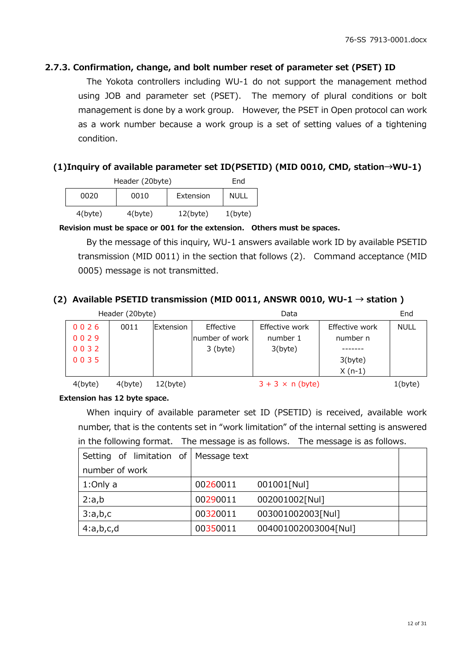## **2.7.3. Confirmation, change, and bolt number reset of parameter set (PSET) ID**

The Yokota controllers including WU-1 do not support the management method using JOB and parameter set (PSET). The memory of plural conditions or bolt management is done by a work group. However, the PSET in Open protocol can work as a work number because a work group is a set of setting values of a tightening condition.

## **(1)Inquiry of available parameter set ID(PSETID) (MID 0010, CMD, station→WU-1)**

| Header (20byte) | End        |             |            |
|-----------------|------------|-------------|------------|
| 0020            | 0010       | Extension   | NULL       |
| $4$ (byte)      | $4$ (byte) | $12$ (byte) | $1$ (byte) |

**Revision must be space or 001 for the extension. Others must be spaces.** 

By the message of this inquiry, WU-1 answers available work ID by available PSETID transmission (MID 0011) in the section that follows (2). Command acceptance (MID 0005) message is not transmitted.

## (2) Available PSETID transmission (MID 0011, ANSWR 0010, WU-1  $\rightarrow$  station )

|         | Header (20byte) |                   |                 | End                     |                |             |
|---------|-----------------|-------------------|-----------------|-------------------------|----------------|-------------|
| 0026    | 0011            | <b>IExtension</b> | Effective       | Effective work          | Effective work | <b>NULL</b> |
| 0029    |                 |                   | Inumber of work | number 1                | number n       |             |
| 0032    |                 |                   | $3$ (byte)      | 3(byte)                 |                |             |
| 0035    |                 |                   |                 |                         | 3(byte)        |             |
|         |                 |                   |                 |                         | $X(n-1)$       |             |
| 4(byte) | $4$ (byte)      | $12$ (byte)       |                 | $3 + 3 \times n$ (byte) |                | $1$ (byte)  |

**Extension has 12 byte space.** 

When inquiry of available parameter set ID (PSETID) is received, available work number, that is the contents set in "work limitation" of the internal setting is answered in the following format. The message is as follows. The message is as follows.

| Setting of limitation of   Message text |          |                      |  |
|-----------------------------------------|----------|----------------------|--|
| number of work                          |          |                      |  |
| 1:Only a                                | 00260011 | 001001[Nul]          |  |
| 2:a,b                                   | 00290011 | 002001002[Nul]       |  |
| 3:a,b,c                                 | 00320011 | 003001002003[Nul]    |  |
| 4:a,b,c,d                               | 00350011 | 004001002003004[Nul] |  |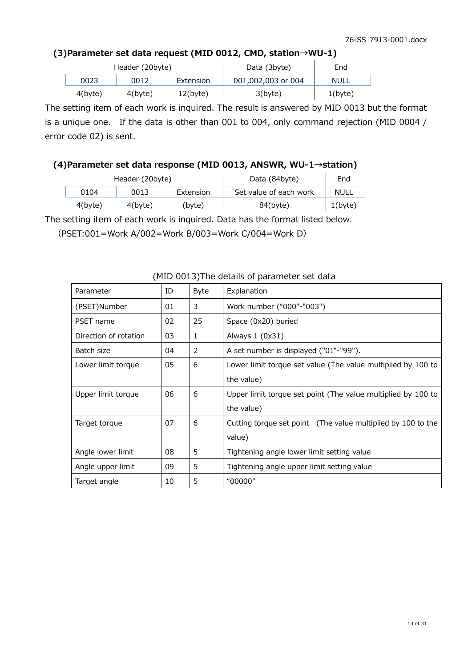## **(3)Parameter set data request (MID 0012, CMD, station→WU-1)**

|            | Header (20byte) |             | Data (3byte)       | End        |
|------------|-----------------|-------------|--------------------|------------|
| 0023       | 0012            | Extension   | 001,002,003 or 004 | NULL       |
| $4$ (byte) | $4$ (byte)      | $12$ (byte) | 3(b)               | $1$ (byte) |

The setting item of each work is inquired. The result is answered by MID 0013 but the format is a unique one. If the data is other than 001 to 004, only command rejection (MID 0004 / error code 02) is sent.

## **(4)Parameter set data response (MID 0013, ANSWR, WU-1→station)**

|         | Header (20byte) |           | Data (84byte)          | End        |
|---------|-----------------|-----------|------------------------|------------|
| 0104    | 0013            | Extension | Set value of each work | NULL       |
| 4(byte) | $4$ (byte)      | (bvte)    | $84$ (byte)            | $1$ (byte) |

The setting item of each work is inquired. Data has the format listed below.

(PSET:001=Work A/002=Work B/003=Work C/004=Work D)

| Parameter             | ID | <b>Byte</b> | Explanation                                                  |  |  |
|-----------------------|----|-------------|--------------------------------------------------------------|--|--|
| (PSET)Number          | 01 | 3           | Work number ("000"-"003")                                    |  |  |
| PSET name             | 02 | 25          | Space (0x20) buried                                          |  |  |
| Direction of rotation | 03 | 1           | Always $1(0x31)$                                             |  |  |
| Batch size            | 04 | 2           | A set number is displayed ("01"-"99").                       |  |  |
| Lower limit torque    | 05 | 6           | Lower limit torque set value (The value multiplied by 100 to |  |  |
|                       |    |             | the value)                                                   |  |  |
| Upper limit torque    | 06 | 6           | Upper limit torque set point (The value multiplied by 100 to |  |  |
|                       |    |             | the value)                                                   |  |  |
| Target torque         | 07 | 6           | Cutting torque set point (The value multiplied by 100 to the |  |  |
|                       |    |             | value)                                                       |  |  |
| Angle lower limit     | 08 | 5           | Tightening angle lower limit setting value                   |  |  |
| Angle upper limit     | 09 | 5           | Tightening angle upper limit setting value                   |  |  |
| Target angle          | 10 | 5           | "00000"                                                      |  |  |

#### (MID 0013)The details of parameter set data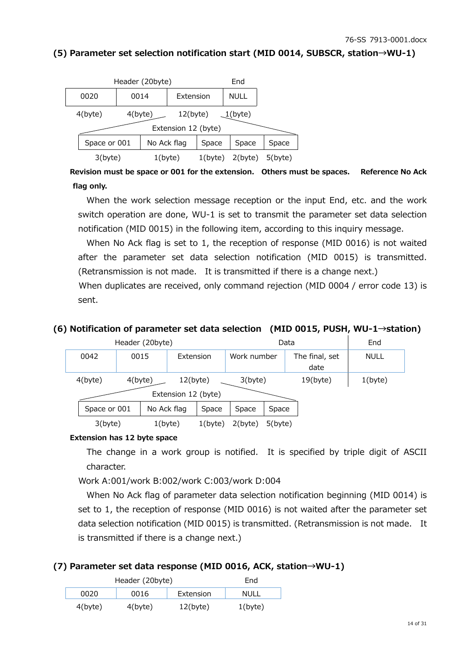## **(5) Parameter set selection notification start (MID 0014, SUBSCR, station→WU-1)**

| Header (20byte) |                          |            |  |                      |            | End         |       |
|-----------------|--------------------------|------------|--|----------------------|------------|-------------|-------|
|                 | 0020                     | 0014       |  | Extension            |            | <b>NULL</b> |       |
|                 | $4$ (byte)               | $4$ (byte) |  | $12$ (byte)          |            | $1$ (byte)  |       |
|                 |                          |            |  | Extension 12 (byte)  |            |             |       |
|                 | Space or 001             |            |  | No Ack flag<br>Space |            | Space       | Space |
|                 | $3$ (byte)<br>$1$ (byte) |            |  | $1$ (byte)           | $2$ (byte) | $5$ (byte)  |       |

 **Revision must be space or 001 for the extension. Others must be spaces. Reference No Ack flag only.** 

When the work selection message reception or the input End, etc. and the work switch operation are done, WU-1 is set to transmit the parameter set data selection notification (MID 0015) in the following item, according to this inquiry message.

When No Ack flag is set to 1, the reception of response (MID 0016) is not waited after the parameter set data selection notification (MID 0015) is transmitted. (Retransmission is not made. It is transmitted if there is a change next.)

When duplicates are received, only command rejection (MID 0004 / error code 13) is sent.

# **(6) Notification of parameter set data selection (MID 0015, PUSH, WU-1→station)**

| Header (20byte)                                                |  |                   |            |            |             | End         |                        |             |
|----------------------------------------------------------------|--|-------------------|------------|------------|-------------|-------------|------------------------|-------------|
| 0042                                                           |  | 0015<br>Extension |            |            | Work number |             | The final, set<br>date | <b>NULL</b> |
| $4$ (byte)<br>$12$ (byte)<br>$4$ (byte)<br>Extension 12 (byte) |  |                   |            | 3(byte)    |             | $19$ (byte) | $1$ (byte)             |             |
| No Ack flag<br>Space or 001                                    |  | Space             | Space      | Space      |             |             |                        |             |
| $1$ (byte)<br>3(byte)                                          |  |                   | $1$ (byte) | $2$ (byte) | $5$ (byte)  |             |                        |             |

#### **Extension has 12 byte space**

The change in a work group is notified. It is specified by triple digit of ASCII character.

Work A:001/work B:002/work C:003/work D:004

When No Ack flag of parameter data selection notification beginning (MID 0014) is set to 1, the reception of response (MID 0016) is not waited after the parameter set data selection notification (MID 0015) is transmitted. (Retransmission is not made. It is transmitted if there is a change next.)

#### **(7) Parameter set data response (MID 0016, ACK, station→WU-1)**

| Header (20byte) | Fnd        |             |            |
|-----------------|------------|-------------|------------|
| 0020            | 0016       | Extension   | NULL       |
| $4$ (byte)      | $4$ (byte) | $12$ (byte) | $1$ (byte) |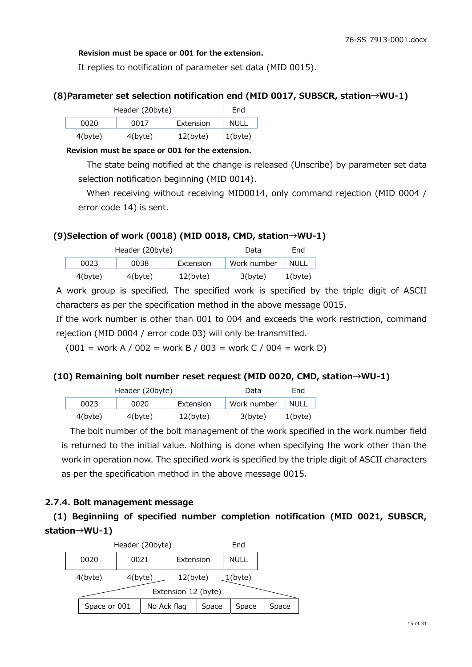#### **Revision must be space or 001 for the extension.**

It replies to notification of parameter set data (MID 0015).

## **(8)Parameter set selection notification end (MID 0017, SUBSCR, station→WU-1)**

| Header (20byte) | End        |             |            |
|-----------------|------------|-------------|------------|
| 0020            | 0017       | Extension   | NULL       |
| $4$ (byte)      | $4$ (byte) | $12$ (byte) | $1$ (byte) |

#### **Revision must be space or 001 for the extension.**

The state being notified at the change is released (Unscribe) by parameter set data selection notification beginning (MID 0014).

When receiving without receiving MID0014, only command rejection (MID 0004 / error code 14) is sent.

## **(9)Selection of work (0018) (MID 0018, CMD, station→WU-1)**

| Header (20byte) |            |           | Data        | End         |
|-----------------|------------|-----------|-------------|-------------|
| 0023            | 0038       | Extension | Work number | <b>NULL</b> |
| $4$ (byte)      | $4$ (byte) | 12(b)     | 3(b)        | 1(b)        |

A work group is specified. The specified work is specified by the triple digit of ASCII characters as per the specification method in the above message 0015.

If the work number is other than 001 to 004 and exceeds the work restriction, command rejection (MID 0004 / error code 03) will only be transmitted.

 $(001 = \text{work A} / 002 = \text{work B} / 003 = \text{work C} / 004 = \text{work D}$ 

#### **(10) Remaining bolt number reset request (MID 0020, CMD, station→WU-1)**

| Header (20byte) |            |           | Data        | End  |
|-----------------|------------|-----------|-------------|------|
| 0023            | 0020       | Extension | Work number | NULL |
| $4$ (byte)      | $4$ (byte) | 12(b)     | 3(b)        | 1(b) |

The bolt number of the bolt management of the work specified in the work number field is returned to the initial value. Nothing is done when specifying the work other than the work in operation now. The specified work is specified by the triple digit of ASCII characters as per the specification method in the above message 0015.

# **2.7.4. Bolt management message**

**(1) Beginniing of specified number completion notification (MID 0021, SUBSCR, station→WU-1)** 

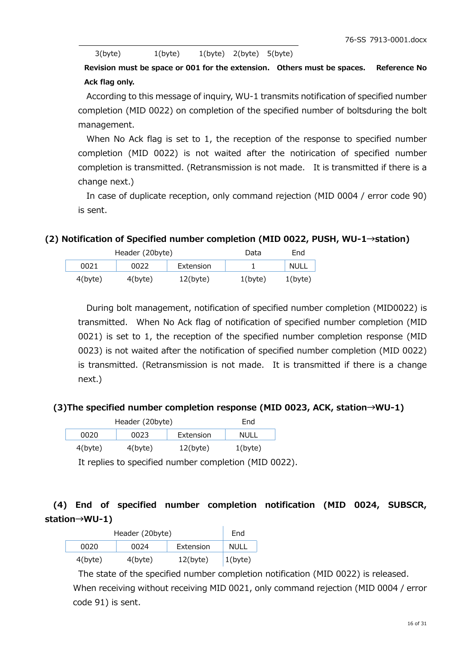| 3(byte) |  | $1$ (byte) |  | $1(byte)$ $2(byte)$ $5(byte)$ |  |  |
|---------|--|------------|--|-------------------------------|--|--|
|         |  |            |  |                               |  |  |
|         |  |            |  |                               |  |  |

**Revision must be space or 001 for the extension. Others must be spaces. Reference No Ack flag only.**

According to this message of inquiry, WU-1 transmits notification of specified number completion (MID 0022) on completion of the specified number of boltsduring the bolt management.

When No Ack flag is set to 1, the reception of the response to specified number completion (MID 0022) is not waited after the notirication of specified number completion is transmitted. (Retransmission is not made. It is transmitted if there is a change next.)

In case of duplicate reception, only command rejection (MID 0004 / error code 90) is sent.

**(2) Notification of Specified number completion (MID 0022, PUSH, WU-1→station)** 

| Header (20byte) |         |             | Data       | End         |
|-----------------|---------|-------------|------------|-------------|
| 0021            |         | Extension   |            | <b>NULL</b> |
| 4(byte)         | 4(byte) | $12$ (byte) | $1$ (byte) | $1$ (byte)  |

During bolt management, notification of specified number completion (MID0022) is transmitted. When No Ack flag of notification of specified number completion (MID 0021) is set to 1, the reception of the specified number completion response (MID 0023) is not waited after the notification of specified number completion (MID 0022) is transmitted. (Retransmission is not made. It is transmitted if there is a change next.)

#### **(3)The specified number completion response (MID 0023, ACK, station→WU-1)**

| Header (20byte) | End        |             |             |
|-----------------|------------|-------------|-------------|
| 0020            | 0023       | Extension   | <b>NULL</b> |
| 4(byte)         | $4$ (byte) | $12$ (byte) | $1$ (byte)  |

It replies to specified number completion (MID 0022).

# **(4) End of specified number completion notification (MID 0024, SUBSCR, station→WU-1)**

| Header (20byte) | End        |             |             |
|-----------------|------------|-------------|-------------|
| 0020            | 0024       | Extension   | <b>NULL</b> |
| $4$ (byte)      | $4$ (byte) | $12$ (byte) | $1$ (byte)  |

 The state of the specified number completion notification (MID 0022) is released. When receiving without receiving MID 0021, only command rejection (MID 0004 / error code 91) is sent.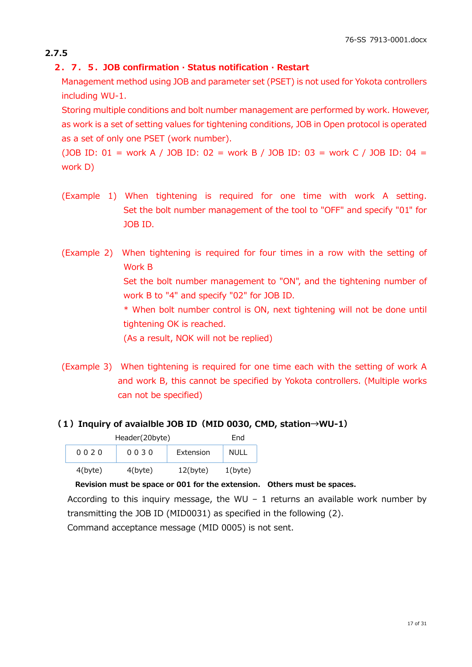# **2.7.5**

# **2.7.5.JOB confirmation · Status notification · Restart**

Management method using JOB and parameter set (PSET) is not used for Yokota controllers including WU-1.

Storing multiple conditions and bolt number management are performed by work. However, as work is a set of setting values for tightening conditions, JOB in Open protocol is operated as a set of only one PSET (work number).

(JOB ID: 01 = work A / JOB ID: 02 = work B / JOB ID: 03 = work C / JOB ID: 04 = work D)

- (Example 1) When tightening is required for one time with work A setting. Set the bolt number management of the tool to "OFF" and specify "01" for JOB ID.
- (Example 2) When tightening is required for four times in a row with the setting of Work B Set the bolt number management to "ON", and the tightening number of work B to "4" and specify "02" for JOB ID. \* When bolt number control is ON, next tightening will not be done until tightening OK is reached. (As a result, NOK will not be replied)
- (Example 3) When tightening is required for one time each with the setting of work A and work B, this cannot be specified by Yokota controllers. (Multiple works can not be specified)

# **(1)Inquiry of avaialble JOB ID(MID 0030, CMD, station→WU-1)**

| Header(20byte) | Fnd        |             |             |
|----------------|------------|-------------|-------------|
| 0020           | 0030       | Extension   | <b>NULL</b> |
| $4$ (byte)     | $4$ (byte) | $12$ (byte) | $1$ (byte)  |

#### **Revision must be space or 001 for the extension. Others must be spaces.**

According to this inquiry message, the WU – 1 returns an available work number by transmitting the JOB ID (MID0031) as specified in the following (2).

Command acceptance message (MID 0005) is not sent.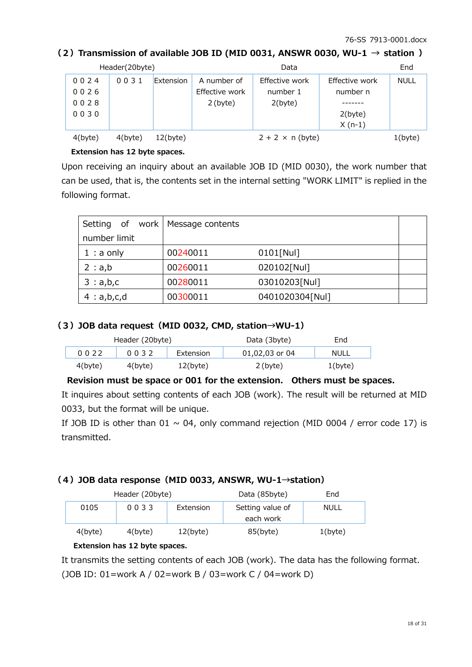## (2) Transmission of available JOB ID (MID 0031, ANSWR 0030, WU-1  $\rightarrow$  station )

|            | Header(20byte) |              |                | Data                    |                | End         |
|------------|----------------|--------------|----------------|-------------------------|----------------|-------------|
| 0024       | 0031           | Extension    | A number of    | Effective work          | Effective work | <b>NULL</b> |
| 0026       |                |              | Effective work | number 1                | number n       |             |
| 0028       |                |              | $2$ (byte)     | 2(byte)                 |                |             |
| 0030       |                |              |                |                         | 2(byte)        |             |
|            |                |              |                |                         | $X(n-1)$       |             |
| $4$ (byte) | $4$ (byte)     | $12(b)$ yte) |                | $2 + 2 \times n$ (byte) |                | 1(byte)     |

#### **Extension has 12 byte spaces.**

Upon receiving an inquiry about an available JOB ID (MID 0030), the work number that can be used, that is, the contents set in the internal setting "WORK LIMIT" is replied in the following format.

| Setting of   | work   Message contents |                 |  |
|--------------|-------------------------|-----------------|--|
| number limit |                         |                 |  |
| $1:$ a only  | 00240011                | $0101$ [Nul]    |  |
| 2 : a,b      | 00260011                | 020102[Nul]     |  |
| 3: a,b,c     | 00280011                | 03010203[Nul]   |  |
| 4: a,b,c,d   | 00300011                | 0401020304[Nul] |  |

## **(3)JOB data request(MID 0032, CMD, station→WU-1)**

| Header (20byte) |            |             | Data (3byte)   | End        |
|-----------------|------------|-------------|----------------|------------|
| 0022            | 0032       | Extension   | 01,02,03 or 04 | NULL       |
| $4$ (byte)      | $4$ (byte) | $12$ (byte) | $2$ (byte)     | $1$ (byte) |

#### **Revision must be space or 001 for the extension. Others must be spaces.**

It inquires about setting contents of each JOB (work). The result will be returned at MID 0033, but the format will be unique.

If JOB ID is other than 01  $\sim$  04, only command rejection (MID 0004 / error code 17) is transmitted.

#### **(4)JOB data response(MID 0033, ANSWR, WU-1→station)**

|            | Header (20byte) |           | Data (85byte)    | End         |
|------------|-----------------|-----------|------------------|-------------|
| 0105       | 0033            | Extension | Setting value of | <b>NULL</b> |
|            |                 |           | each work        |             |
| $4$ (byte) | $4$ (byte)      | 12(b)     | 85(byte)         | $1$ (byte)  |

#### **Extension has 12 byte spaces.**

 It transmits the setting contents of each JOB (work). The data has the following format. (JOB ID: 01=work A / 02=work B / 03=work C / 04=work D)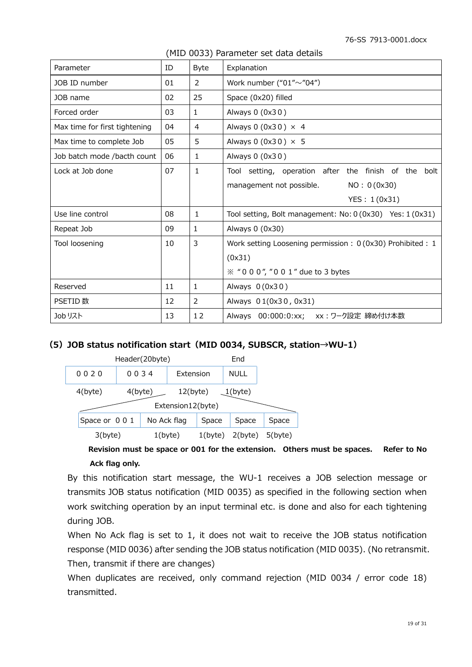| Parameter                     | ID | <b>Byte</b>    | Explanation                                                                                                                                  |
|-------------------------------|----|----------------|----------------------------------------------------------------------------------------------------------------------------------------------|
| JOB ID number                 | 01 | 2              | Work number (" $01" \sim$ "04")                                                                                                              |
| JOB name                      | 02 | 25             | Space (0x20) filled                                                                                                                          |
| Forced order                  | 03 | $\mathbf{1}$   | Always 0 (0x30)                                                                                                                              |
| Max time for first tightening | 04 | 4              | Always 0 (0x30) $\times$ 4                                                                                                                   |
| Max time to complete Job      | 05 | 5              | Always 0 $(0x30) \times 5$                                                                                                                   |
| Job batch mode /bacth count   | 06 | $\mathbf{1}$   | Always 0 (0x30)                                                                                                                              |
| Lock at Job done              | 07 | $\mathbf{1}$   | Tool setting, operation after the finish of the bolt                                                                                         |
|                               |    |                | NO: 0 (0x30)<br>management not possible.                                                                                                     |
|                               |    |                | YES: 1(0x31)                                                                                                                                 |
| Use line control              | 08 | $\mathbf{1}$   | Tool setting, Bolt management: $No: 0 (0x30)$ Yes: $1 (0x31)$                                                                                |
| Repeat Job                    | 09 | $\mathbf{1}$   | Always 0 (0x30)                                                                                                                              |
| Tool loosening                | 10 | $\overline{3}$ | Work setting Loosening permission: 0 (0x30) Prohibited: 1                                                                                    |
|                               |    |                | (0x31)                                                                                                                                       |
|                               |    |                | $\frac{1}{2}$ $\frac{1}{2}$ $\frac{1}{2}$ $\frac{1}{2}$ $\frac{1}{2}$ $\frac{1}{2}$ $\frac{1}{2}$ $\frac{1}{2}$ $\frac{1}{2}$ due to 3 bytes |
| Reserved                      | 11 | $\mathbf{1}$   | Always $0(0x30)$                                                                                                                             |
| PSETID 数                      | 12 | 2              | Always 01(0x30, 0x31)                                                                                                                        |
| Job リスト                       | 13 | 12             | Always 00:000:0:xx; xx: ワーク設定 締め付け本数                                                                                                         |

#### (MID 0033) Parameter set data details

#### **(5)JOB status notification start(MID 0034, SUBSCR, station→WU-1)**

| Header(20byte)                |            |  |            |                                  | End         |  |
|-------------------------------|------------|--|------------|----------------------------------|-------------|--|
| 0020                          | 0034       |  | Extension  |                                  | <b>NULL</b> |  |
| $4$ (byte)                    | $4$ (byte) |  |            | $12$ (byte)<br>Extension12(byte) | $1$ (byte)  |  |
| No Ack flag<br>Space or 0 0 1 |            |  | Space      | Space                            | Space       |  |
| $1$ (byte)<br>3(byte)         |            |  | $1$ (byte) | 2(byte)                          | $5$ (byte)  |  |

 **Revision must be space or 001 for the extension. Others must be spaces. Refer to No Ack flag only.** 

By this notification start message, the WU-1 receives a JOB selection message or transmits JOB status notification (MID 0035) as specified in the following section when work switching operation by an input terminal etc. is done and also for each tightening during JOB.

When No Ack flag is set to 1, it does not wait to receive the JOB status notification response (MID 0036) after sending the JOB status notification (MID 0035). (No retransmit. Then, transmit if there are changes)

When duplicates are received, only command rejection (MID 0034 / error code 18) transmitted.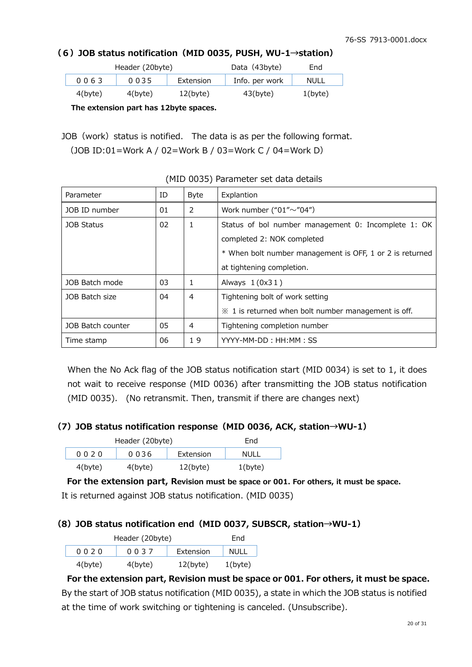## **(6)JOB status notification(MID 0035, PUSH, WU-1→station)**

|            | Header (20byte) | Data (43byte) | End            |            |
|------------|-----------------|---------------|----------------|------------|
| 0063       | 0035            | Extension     | Info. per work | NULL       |
| $4$ (byte) | $4$ (byte)      | 12(b)         | $43$ (byte)    | $1$ (byte) |

 **The extension part has 12byte spaces.**

JOB (work) status is notified. The data is as per the following format. (JOB ID:01=Work A / 02=Work B / 03=Work C / 04=Work D)

| Parameter         | ID | <b>Byte</b> | Explantion                                                     |
|-------------------|----|-------------|----------------------------------------------------------------|
| JOB ID number     | 01 | 2           | Work number (" $01" \sim$ "04")                                |
| JOB Status        | 02 | 1           | Status of bol number management 0: Incomplete 1: OK            |
|                   |    |             | completed 2: NOK completed                                     |
|                   |    |             | * When bolt number management is OFF, 1 or 2 is returned       |
|                   |    |             | at tightening completion.                                      |
| JOB Batch mode    | 03 | 1           | Always $1(0x31)$                                               |
| JOB Batch size    | 04 | 4           | Tightening bolt of work setting                                |
|                   |    |             | $\mathcal X$ 1 is returned when bolt number management is off. |
| JOB Batch counter | 05 | 4           | Tightening completion number                                   |
| Time stamp        | 06 | 19          | YYYY-MM-DD: HH:MM: SS                                          |

(MID 0035) Parameter set data details

When the No Ack flag of the JOB status notification start (MID 0034) is set to 1, it does not wait to receive response (MID 0036) after transmitting the JOB status notification (MID 0035). (No retransmit. Then, transmit if there are changes next)

#### **(7)JOB status notification response(MID 0036, ACK, station→WU-1)**

| Header (20byte) | End        |             |            |
|-----------------|------------|-------------|------------|
| 0020            | 0036       | Extension   | NULL       |
| $4$ (byte)      | $4$ (byte) | $12$ (byte) | $1$ (byte) |

 **For the extension part, Revision must be space or 001. For others, it must be space.**  It is returned against JOB status notification. (MID 0035)

#### **(8)JOB status notification end(MID 0037, SUBSCR, station→WU-1)**

| Header (20byte) | Fnd        |           |            |
|-----------------|------------|-----------|------------|
| 0020            | 0037       | Extension | NULL       |
| $4$ (byte)      | $4$ (byte) | 12(byte)  | $1$ (byte) |

 **For the extension part, Revision must be space or 001. For others, it must be space.** By the start of JOB status notification (MID 0035), a state in which the JOB status is notified at the time of work switching or tightening is canceled. (Unsubscribe).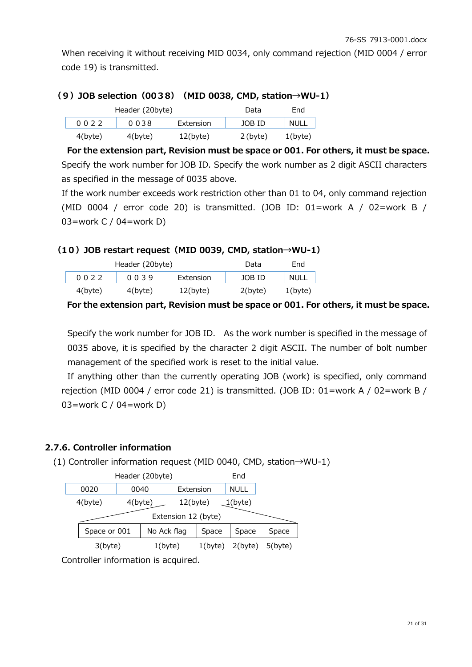When receiving it without receiving MID 0034, only command rejection (MID 0004 / error code 19) is transmitted.

#### **(9)JOB selection(0038)(MID 0038, CMD, station→WU-1)**

|            | Header (20byte) | Data        | End        |             |
|------------|-----------------|-------------|------------|-------------|
| 0022       | 0038            | Extension   | JOB ID     | <b>NULL</b> |
| $4$ (byte) | $4$ (byte)      | $12$ (byte) | $2$ (byte) | 1(b)        |

 **For the extension part, Revision must be space or 001. For others, it must be space.** Specify the work number for JOB ID. Specify the work number as 2 digit ASCII characters as specified in the message of 0035 above.

If the work number exceeds work restriction other than 01 to 04, only command rejection (MID 0004 / error code 20) is transmitted. (JOB ID: 01=work A / 02=work B / 03=work C / 04=work D)

#### **(10)JOB restart request(MID 0039, CMD, station→WU-1)**

|            | Header (20byte) | Data      | End        |             |
|------------|-----------------|-----------|------------|-------------|
| 0022       | 0039            | Extension | JOB ID     | <b>NULL</b> |
| $4$ (byte) | $4$ (byte)      | 12(b)     | $2$ (byte) | $1$ (byte)  |

 **For the extension part, Revision must be space or 001. For others, it must be space.**

Specify the work number for JOB ID. As the work number is specified in the message of 0035 above, it is specified by the character 2 digit ASCII. The number of bolt number management of the specified work is reset to the initial value.

If anything other than the currently operating JOB (work) is specified, only command rejection (MID 0004 / error code 21) is transmitted. (JOB ID: 01=work A / 02=work B / 03=work C / 04=work D)

## **2.7.6. Controller information**

(1) Controller information request (MID 0040, CMD, station→WU-1)

|                     | Header (20byte)             |            |  |             |            | End         |  |
|---------------------|-----------------------------|------------|--|-------------|------------|-------------|--|
|                     | 0020                        | 0040       |  | Extension   |            | <b>NULL</b> |  |
|                     | $4$ (byte)                  | $4$ (byte) |  | $12$ (byte) |            | $1$ (byte)  |  |
| Extension 12 (byte) |                             |            |  |             |            |             |  |
|                     | No Ack flag<br>Space or 001 |            |  | Space       | Space      | Space       |  |
|                     | 3(byte)<br>$1$ (byte)       |            |  | $1$ (byte)  | $2$ (byte) | $5$ (byte)  |  |
|                     |                             |            |  |             |            |             |  |

Controller information is acquired.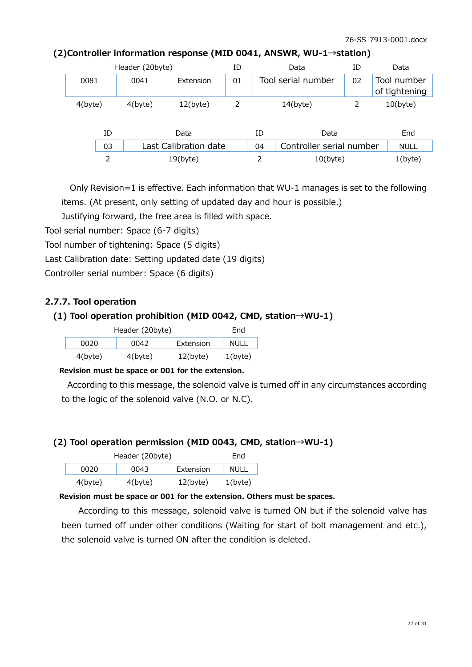| Header (20byte) |    |            | ΙD                    |    | Data | ID                       | Data |                              |
|-----------------|----|------------|-----------------------|----|------|--------------------------|------|------------------------------|
| 0081            |    | 0041       | Extension             | 01 |      | Tool serial number       | 02   | Tool number<br>of tightening |
| 4(byte)         |    | $4$ (byte) | $12$ (byte)           | 2  |      | $14$ (byte)              |      | $10(b)$ yte)                 |
|                 | ID |            | Data                  |    | ID   | Data                     |      | End                          |
|                 | 03 |            | Last Calibration date |    | 04   | Controller serial number |      | <b>NULL</b>                  |
|                 | 2  |            | $19$ (byte)           |    |      | $10$ (byte)              |      | $1$ (byte)                   |

#### **(2)Controller information response (MID 0041, ANSWR, WU-1→station)**

Only Revision=1 is effective. Each information that WU-1 manages is set to the following items. (At present, only setting of updated day and hour is possible.)

Justifying forward, the free area is filled with space.

Tool serial number: Space (6-7 digits)

Tool number of tightening: Space (5 digits)

Last Calibration date: Setting updated date (19 digits)

Controller serial number: Space (6 digits)

#### **2.7.7. Tool operation**

#### **(1) Tool operation prohibition (MID 0042, CMD, station→WU-1)**

| Header (20byte) | Fnd        |             |            |
|-----------------|------------|-------------|------------|
| 0020            | NULL       |             |            |
| $4$ (byte)      | $4$ (byte) | $12$ (byte) | $1$ (byte) |

#### **Revision must be space or 001 for the extension.**

According to this message, the solenoid valve is turned off in any circumstances according to the logic of the solenoid valve (N.O. or N.C).

#### **(2) Tool operation permission (MID 0043, CMD, station→WU-1)**

|            | Header (20byte) |             | End         |
|------------|-----------------|-------------|-------------|
| 0020       | 0043            | Extension   | <b>NULL</b> |
| $4$ (byte) | $4$ (byte)      | $12$ (byte) | $1$ (byte)  |

#### **Revision must be space or 001 for the extension. Others must be spaces.**

According to this message, solenoid valve is turned ON but if the solenoid valve has been turned off under other conditions (Waiting for start of bolt management and etc.), the solenoid valve is turned ON after the condition is deleted.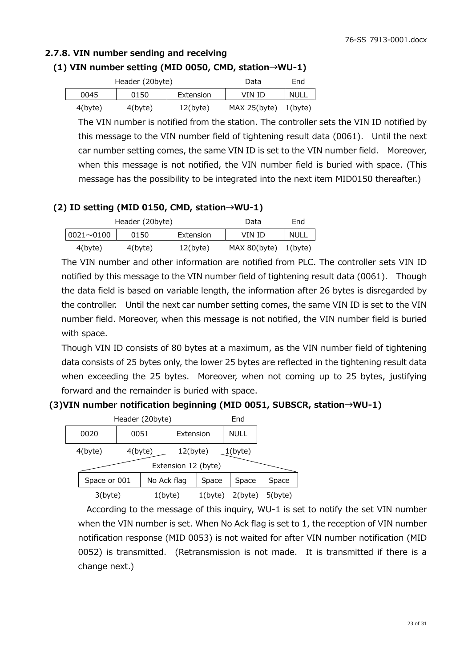# **2.7.8. VIN number sending and receiving**

## **(1) VIN number setting (MID 0050, CMD, station→WU-1)**

|         | Header (20byte) | Data        | End          |         |
|---------|-----------------|-------------|--------------|---------|
| 0045    | 0150            | Extension   | VIN ID       | NULL    |
| 4(byte) | $4$ (byte)      | $12$ (byte) | MAX 25(byte) | 1(byte) |

The VIN number is notified from the station. The controller sets the VIN ID notified by this message to the VIN number field of tightening result data (0061). Until the next car number setting comes, the same VIN ID is set to the VIN number field. Moreover, when this message is not notified, the VIN number field is buried with space. (This message has the possibility to be integrated into the next item MID0150 thereafter.)

#### **(2) ID setting (MID 0150, CMD, station→WU-1)**

|                   | Header (20byte) |             | Data         | End         |
|-------------------|-----------------|-------------|--------------|-------------|
| $ 0021 \sim 0100$ | 0150            | Extension   | VIN ID       | <b>NULL</b> |
| 4(byte)           | 4(byte)         | $12$ (byte) | MAX 80(byte) | 1(byte)     |

The VIN number and other information are notified from PLC. The controller sets VIN ID notified by this message to the VIN number field of tightening result data (0061). Though the data field is based on variable length, the information after 26 bytes is disregarded by the controller. Until the next car number setting comes, the same VIN ID is set to the VIN number field. Moreover, when this message is not notified, the VIN number field is buried with space.

 Though VIN ID consists of 80 bytes at a maximum, as the VIN number field of tightening data consists of 25 bytes only, the lower 25 bytes are reflected in the tightening result data when exceeding the 25 bytes. Moreover, when not coming up to 25 bytes, justifying forward and the remainder is buried with space.

#### **(3)VIN number notification beginning (MID 0051, SUBSCR, station→WU-1)**

| Header (20byte)<br>End |            |             |                                    |            |             |            |
|------------------------|------------|-------------|------------------------------------|------------|-------------|------------|
| 0020                   | 0051       |             | Extension                          |            | <b>NULL</b> |            |
| $4$ (byte)             | $4$ (byte) |             | $12$ (byte)<br>Extension 12 (byte) |            | $1$ (byte)  |            |
|                        |            |             |                                    |            |             |            |
| Space or 001           |            | No Ack flag |                                    | Space      | Space       | Space      |
| 3(byte)                |            |             | 1(byte)                            | $1$ (byte) | 2(byte)     | $5$ (byte) |

According to the message of this inquiry, WU-1 is set to notify the set VIN number when the VIN number is set. When No Ack flag is set to 1, the reception of VIN number notification response (MID 0053) is not waited for after VIN number notification (MID 0052) is transmitted. (Retransmission is not made. It is transmitted if there is a change next.)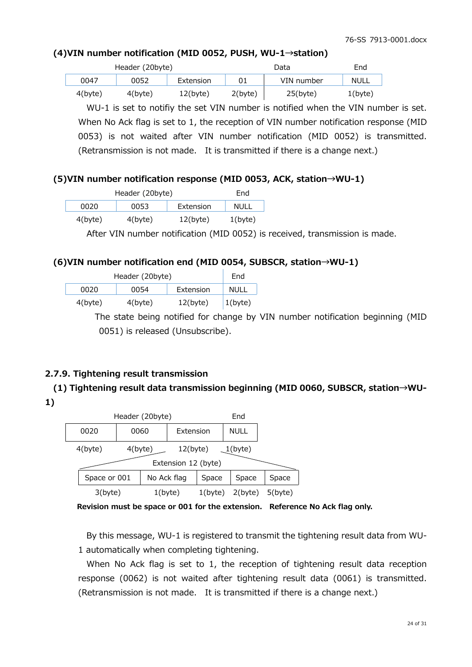# **(4)VIN number notification (MID 0052, PUSH, WU-1→station)**

|            | Header (20byte) |           |            | Data        | End        |
|------------|-----------------|-----------|------------|-------------|------------|
| 0047       | 0052            | Extension |            | VIN number  | NULL       |
| $4$ (byte) | 4(byte)         | 12(b)     | $2$ (byte) | $25$ (byte) | $1$ (byte) |

WU-1 is set to notifiy the set VIN number is notified when the VIN number is set. When No Ack flag is set to 1, the reception of VIN number notification response (MID 0053) is not waited after VIN number notification (MID 0052) is transmitted. (Retransmission is not made. It is transmitted if there is a change next.)

# **(5)VIN number notification response (MID 0053, ACK, station→WU-1)**

|            | Header (20byte) | Fnd         |            |
|------------|-----------------|-------------|------------|
| 0020       | 0053            | Extension   | NULL       |
| $4$ (byte) | $4$ (byte)      | $12$ (byte) | $1$ (byte) |

After VIN number notification (MID 0052) is received, transmission is made.

# **(6)VIN number notification end (MID 0054, SUBSCR, station→WU-1)**

| Header (20byte) | End        |             |             |
|-----------------|------------|-------------|-------------|
| 0020            | 0054       | Extension   | <b>NULL</b> |
| $4$ (byte)      | $4$ (byte) | $12$ (byte) | $1$ (byte)  |

The state being notified for change by VIN number notification beginning (MID 0051) is released (Unsubscribe).

# **2.7.9. Tightening result transmission**

# **(1) Tightening result data transmission beginning (MID 0060, SUBSCR, station→WU-**

**1)** 



 **Revision must be space or 001 for the extension. Reference No Ack flag only.**

By this message, WU-1 is registered to transmit the tightening result data from WU-1 automatically when completing tightening.

When No Ack flag is set to 1, the reception of tightening result data reception response (0062) is not waited after tightening result data (0061) is transmitted. (Retransmission is not made. It is transmitted if there is a change next.)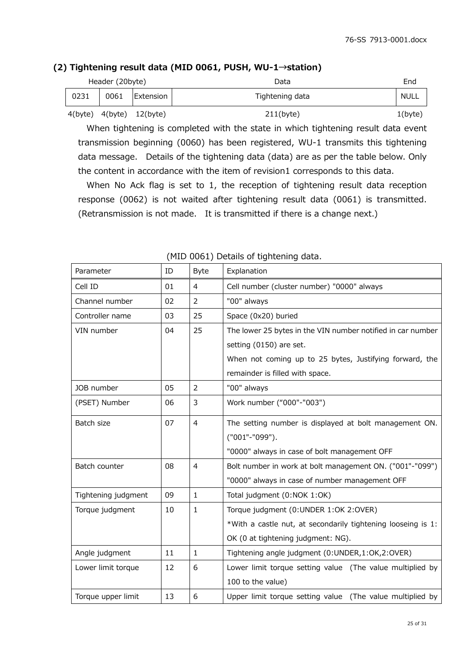## **(2) Tightening result data (MID 0061, PUSH, WU-1→station)**

| Header (20byte) |         |         |                   | Data            | End        |
|-----------------|---------|---------|-------------------|-----------------|------------|
|                 | 0231    | 0061    | <b>IExtension</b> | Tightening data | NULL       |
|                 | 4(byte) | 4(byte) | $12$ (byte)       | $211$ (byte)    | $1$ (byte) |

When tightening is completed with the state in which tightening result data event transmission beginning (0060) has been registered, WU-1 transmits this tightening data message. Details of the tightening data (data) are as per the table below. Only the content in accordance with the item of revision1 corresponds to this data.

When No Ack flag is set to 1, the reception of tightening result data reception response (0062) is not waited after tightening result data (0061) is transmitted. (Retransmission is not made. It is transmitted if there is a change next.)

| Parameter           | ID | <b>Byte</b>    | Explanation                                                  |  |
|---------------------|----|----------------|--------------------------------------------------------------|--|
| Cell ID             | 01 | $\overline{4}$ | Cell number (cluster number) "0000" always                   |  |
| Channel number      | 02 | $\overline{2}$ | "00" always                                                  |  |
| Controller name     | 03 | 25             | Space (0x20) buried                                          |  |
| VIN number          | 04 | 25             | The lower 25 bytes in the VIN number notified in car number  |  |
|                     |    |                | setting (0150) are set.                                      |  |
|                     |    |                | When not coming up to 25 bytes, Justifying forward, the      |  |
|                     |    |                | remainder is filled with space.                              |  |
| JOB number          | 05 | $\overline{2}$ | "00" always                                                  |  |
| (PSET) Number       | 06 | 3              | Work number ("000"-"003")                                    |  |
| Batch size          | 07 | $\overline{4}$ | The setting number is displayed at bolt management ON.       |  |
|                     |    |                | ("001"-"099").                                               |  |
|                     |    |                | "0000" always in case of bolt management OFF                 |  |
| Batch counter       | 08 | $\overline{4}$ | Bolt number in work at bolt management ON. ("001"-"099")     |  |
|                     |    |                | "0000" always in case of number management OFF               |  |
| Tightening judgment | 09 | $\mathbf{1}$   | Total judgment (0:NOK 1:OK)                                  |  |
| Torque judgment     | 10 | $\mathbf{1}$   | Torque judgment (0:UNDER 1:OK 2:OVER)                        |  |
|                     |    |                | *With a castle nut, at secondarily tightening looseing is 1: |  |
|                     |    |                | OK (0 at tightening judgment: NG).                           |  |
| Angle judgment      | 11 | $\mathbf{1}$   | Tightening angle judgment (0:UNDER,1:OK,2:OVER)              |  |
| Lower limit torque  | 12 | 6              | Lower limit torque setting value (The value multiplied by    |  |
|                     |    |                | 100 to the value)                                            |  |
| Torque upper limit  | 13 | 6              | Upper limit torque setting value (The value multiplied by    |  |

#### (MID 0061) Details of tightening data.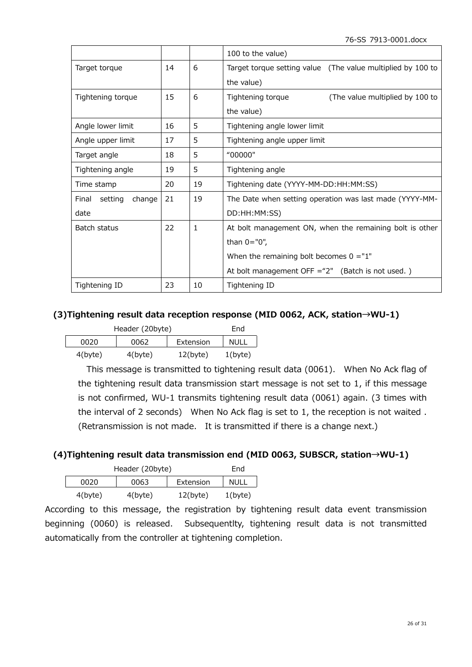76-SS 7913-0001.docx

|                            |    |    | 100 to the value)                                           |  |  |
|----------------------------|----|----|-------------------------------------------------------------|--|--|
| Target torque              | 14 | 6  | Target torque setting value (The value multiplied by 100 to |  |  |
|                            |    |    | the value)                                                  |  |  |
| Tightening torque          | 15 | 6  | Tightening torque<br>(The value multiplied by 100 to        |  |  |
|                            |    |    | the value)                                                  |  |  |
| Angle lower limit          | 16 | 5  | Tightening angle lower limit                                |  |  |
| Angle upper limit          | 17 | 5  | Tightening angle upper limit                                |  |  |
| Target angle               | 18 | 5  | "00000"                                                     |  |  |
| Tightening angle           | 19 | 5  | Tightening angle                                            |  |  |
| Time stamp                 | 20 | 19 | Tightening date (YYYY-MM-DD:HH:MM:SS)                       |  |  |
| setting<br>change<br>Final | 21 | 19 | The Date when setting operation was last made (YYYY-MM-     |  |  |
| date                       |    |    | DD:HH:MM:SS)                                                |  |  |
| Batch status               | 22 | 1  | At bolt management ON, when the remaining bolt is other     |  |  |
|                            |    |    | than $0 = "0",$                                             |  |  |
|                            |    |    | When the remaining bolt becomes $0 = "1"$                   |  |  |
|                            |    |    | At bolt management OFF $=$ "2" (Batch is not used.)         |  |  |
| Tightening ID              | 23 | 10 | Tightening ID                                               |  |  |

# **(3)Tightening result data reception response (MID 0062, ACK, station→WU-1)**

| Header (20byte) | Fnd        |             |             |
|-----------------|------------|-------------|-------------|
| 0020            | 0062       | Extension   | <b>NULL</b> |
| $4$ (byte)      | $4$ (byte) | $12$ (byte) | $1$ (byte)  |

This message is transmitted to tightening result data (0061). When No Ack flag of the tightening result data transmission start message is not set to 1, if this message is not confirmed, WU-1 transmits tightening result data (0061) again. (3 times with the interval of 2 seconds) When No Ack flag is set to 1, the reception is not waited . (Retransmission is not made. It is transmitted if there is a change next.)

# **(4)Tightening result data transmission end (MID 0063, SUBSCR, station→WU-1)**

|            | Header (20byte) |       | Fnd        |
|------------|-----------------|-------|------------|
| 0020       | Extension       | NULL  |            |
| $4$ (byte) | $4$ (byte)      | 12(b) | $1$ (byte) |

According to this message, the registration by tightening result data event transmission beginning (0060) is released. Subsequentlty, tightening result data is not transmitted automatically from the controller at tightening completion.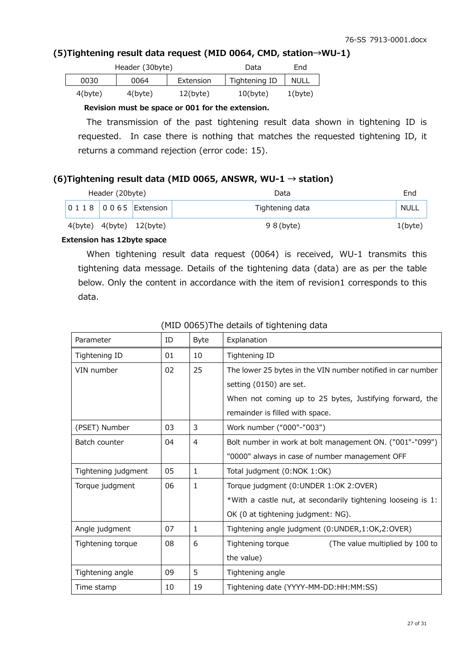## **(5)Tightening result data request (MID 0064, CMD, station→WU-1)**

| Header (30byte) |            |             | Data          | End        |
|-----------------|------------|-------------|---------------|------------|
| 0030            | 0064       | Extension   | Tightening ID | NULL       |
| $4$ (byte)      | $4$ (byte) | $12$ (byte) | 10(b)         | $1$ (byte) |

#### **Revision must be space or 001 for the extension.**

The transmission of the past tightening result data shown in tightening ID is requested. In case there is nothing that matches the requested tightening ID, it returns a command rejection (error code: 15).

## **(6)Tightening result data (MID 0065, ANSWR, WU-1 → station)**

| Header (20byte) |  |                                | Data            | End        |
|-----------------|--|--------------------------------|-----------------|------------|
|                 |  | 0 1 1 8 0 0 6 5 Extension      | Tightening data | NULL       |
|                 |  | $4(byte)$ $4(byte)$ $12(byte)$ | $98$ (byte)     | $1$ (byte) |

# **Extension has 12byte space**

When tightening result data request (0064) is received, WU-1 transmits this tightening data message. Details of the tightening data (data) are as per the table below. Only the content in accordance with the item of revision1 corresponds to this data.

| Parameter           | ID | <b>Byte</b>    | Explanation                                                  |  |
|---------------------|----|----------------|--------------------------------------------------------------|--|
| Tightening ID       | 01 | 10             | Tightening ID                                                |  |
| VIN number          | 02 | 25             | The lower 25 bytes in the VIN number notified in car number  |  |
|                     |    |                | setting (0150) are set.                                      |  |
|                     |    |                | When not coming up to 25 bytes, Justifying forward, the      |  |
|                     |    |                | remainder is filled with space.                              |  |
| (PSET) Number       | 03 | 3              | Work number ("000"-"003")                                    |  |
| Batch counter       | 04 | $\overline{4}$ | Bolt number in work at bolt management ON. ("001"-"099")     |  |
|                     |    |                | "0000" always in case of number management OFF               |  |
| Tightening judgment | 05 | $\mathbf{1}$   | Total judgment (0:NOK 1:OK)                                  |  |
| Torque judgment     | 06 | $\mathbf{1}$   | Torque judgment (0:UNDER 1:OK 2:OVER)                        |  |
|                     |    |                | *With a castle nut, at secondarily tightening looseing is 1: |  |
|                     |    |                | OK (0 at tightening judgment: NG).                           |  |
| Angle judgment      | 07 | $\mathbf{1}$   | Tightening angle judgment (0:UNDER,1:OK,2:OVER)              |  |
| Tightening torque   | 08 | 6              | Tightening torque<br>(The value multiplied by 100 to         |  |
|                     |    |                | the value)                                                   |  |
| Tightening angle    | 09 | 5              | Tightening angle                                             |  |
| Time stamp          | 10 | 19             | Tightening date (YYYY-MM-DD:HH:MM:SS)                        |  |

#### (MID 0065)The details of tightening data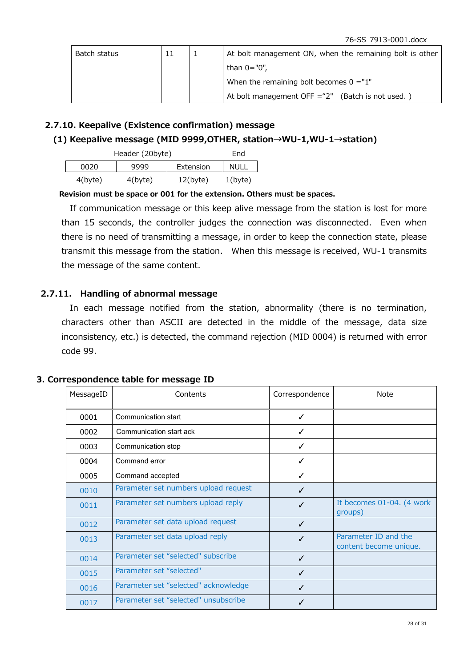| Batch status | 11 | At bolt management ON, when the remaining bolt is other |
|--------------|----|---------------------------------------------------------|
|              |    | than 0="0",                                             |
|              |    | When the remaining bolt becomes $0 = 1$ "               |
|              |    | At bolt management OFF $=$ "2" (Batch is not used.)     |

#### **2.7.10. Keepalive (Existence confirmation) message**

#### **(1) Keepalive message (MID 9999,OTHER, station→WU-1,WU-1→station)**

| Header (20byte) | Fnd        |             |            |
|-----------------|------------|-------------|------------|
| 0020            | 9999       | Extension   | NULL       |
| $4$ (byte)      | $4$ (byte) | $12$ (byte) | $1$ (byte) |

#### **Revision must be space or 001 for the extension. Others must be spaces.**

If communication message or this keep alive message from the station is lost for more than 15 seconds, the controller judges the connection was disconnected. Even when there is no need of transmitting a message, in order to keep the connection state, please transmit this message from the station. When this message is received, WU-1 transmits the message of the same content.

#### **2.7.11. Handling of abnormal message**

In each message notified from the station, abnormality (there is no termination, characters other than ASCII are detected in the middle of the message, data size inconsistency, etc.) is detected, the command rejection (MID 0004) is returned with error code 99.

|  |  | 3. Correspondence table for message ID |  |  |  |  |
|--|--|----------------------------------------|--|--|--|--|
|--|--|----------------------------------------|--|--|--|--|

| MessageID | Contents                             | Correspondence | <b>Note</b>                                    |
|-----------|--------------------------------------|----------------|------------------------------------------------|
| 0001      | Communication start                  | ✓              |                                                |
| 0002      | Communication start ack              | ✓              |                                                |
| 0003      | Communication stop                   | ✓              |                                                |
| 0004      | Command error                        | ✓              |                                                |
| 0005      | Command accepted                     | ✓              |                                                |
| 0010      | Parameter set numbers upload request | ✓              |                                                |
| 0011      | Parameter set numbers upload reply   | ✓              | It becomes 01-04. (4 work<br>groups)           |
| 0012      | Parameter set data upload request    | ✓              |                                                |
| 0013      | Parameter set data upload reply      | ✓              | Parameter ID and the<br>content become unique. |
| 0014      | Parameter set "selected" subscribe   | ✓              |                                                |
| 0015      | Parameter set "selected"             | ✓              |                                                |
| 0016      | Parameter set "selected" acknowledge | ✓              |                                                |
| 0017      | Parameter set "selected" unsubscribe |                |                                                |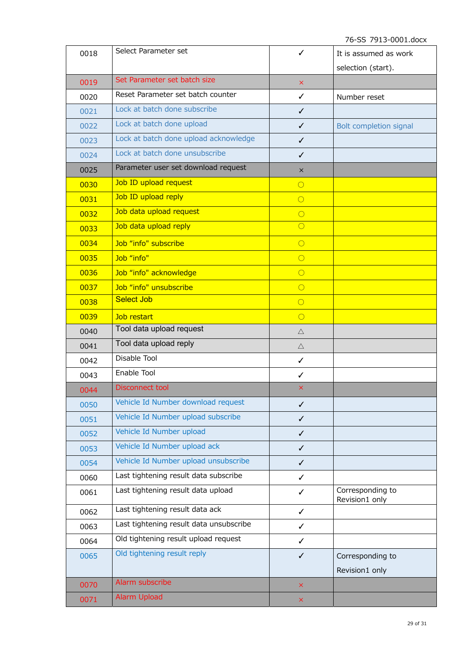76-SS 7913-0001.docx

| 0018 | Select Parameter set                    | ✓                         | It is assumed as work              |
|------|-----------------------------------------|---------------------------|------------------------------------|
|      |                                         |                           | selection (start).                 |
| 0019 | Set Parameter set batch size            | $\times$                  |                                    |
| 0020 | Reset Parameter set batch counter       | ✓                         | Number reset                       |
| 0021 | Lock at batch done subscribe            | ✓                         |                                    |
| 0022 | Lock at batch done upload               | ✓                         | Bolt completion signal             |
| 0023 | Lock at batch done upload acknowledge   | $\checkmark$              |                                    |
| 0024 | Lock at batch done unsubscribe          | $\checkmark$              |                                    |
| 0025 | Parameter user set download request     | $\times$                  |                                    |
| 0030 | Job ID upload request                   | $\overline{O}$            |                                    |
| 0031 | Job ID upload reply                     | $\circ$                   |                                    |
| 0032 | Job data upload request                 | $\circ$                   |                                    |
| 0033 | Job data upload reply                   | $\circ$                   |                                    |
| 0034 | Job "info" subscribe                    | $\circ$                   |                                    |
| 0035 | Job "info"                              | $\bigcirc$                |                                    |
| 0036 | Job "info" acknowledge                  | $\circ$                   |                                    |
| 0037 | Job "info" unsubscribe                  | $\circ$                   |                                    |
| 0038 | <b>Select Job</b>                       | $\circ$                   |                                    |
| 0039 | Job restart                             | $\circ$                   |                                    |
| 0040 | Tool data upload request                | $\triangle$               |                                    |
| 0041 | Tool data upload reply                  | $\triangle$               |                                    |
| 0042 | Disable Tool                            | $\checkmark$              |                                    |
| 0043 | Enable Tool                             | $\checkmark$              |                                    |
| 0044 | <b>Disconnect tool</b>                  | ×                         |                                    |
| 0050 | Vehicle Id Number download request      | $\checkmark$              |                                    |
| 0051 | Vehicle Id Number upload subscribe      | $\checkmark$              |                                    |
| 0052 | Vehicle Id Number upload                | $\checkmark$              |                                    |
| 0053 | Vehicle Id Number upload ack            | $\checkmark$              |                                    |
| 0054 | Vehicle Id Number upload unsubscribe    | $\checkmark$              |                                    |
| 0060 | Last tightening result data subscribe   | ✓                         |                                    |
| 0061 | Last tightening result data upload      | ✓                         | Corresponding to<br>Revision1 only |
| 0062 | Last tightening result data ack         | ✓                         |                                    |
| 0063 | Last tightening result data unsubscribe | $\checkmark$              |                                    |
| 0064 | Old tightening result upload request    | $\checkmark$              |                                    |
| 0065 | Old tightening result reply             | $\checkmark$              | Corresponding to<br>Revision1 only |
| 0070 | Alarm subscribe                         | $\times$                  |                                    |
| 0071 | Alarm Upload                            | $\boldsymbol{\mathsf{X}}$ |                                    |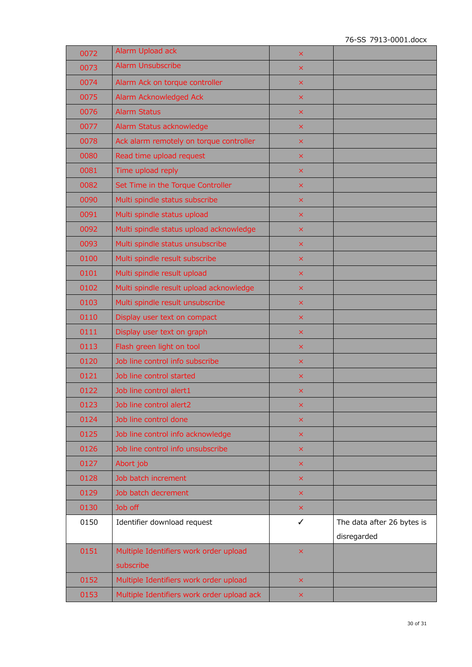| 0072 | Alarm Upload ack                           | ×              |                            |
|------|--------------------------------------------|----------------|----------------------------|
| 0073 | <b>Alarm Unsubscribe</b>                   | $\times$       |                            |
| 0074 | Alarm Ack on torque controller             | ×              |                            |
| 0075 | Alarm Acknowledged Ack                     | ×              |                            |
| 0076 | <b>Alarm Status</b>                        | ×              |                            |
| 0077 | Alarm Status acknowledge                   | ×              |                            |
| 0078 | Ack alarm remotely on torque controller    | ×              |                            |
| 0080 | Read time upload request                   | ×              |                            |
| 0081 | Time upload reply                          | ×              |                            |
| 0082 | Set Time in the Torque Controller          | ×              |                            |
| 0090 | Multi spindle status subscribe             | ×              |                            |
| 0091 | Multi spindle status upload                | $\times$       |                            |
| 0092 | Multi spindle status upload acknowledge    | ×              |                            |
| 0093 | Multi spindle status unsubscribe           | $\times$       |                            |
| 0100 | Multi spindle result subscribe             | ×              |                            |
| 0101 | Multi spindle result upload                | ×              |                            |
| 0102 | Multi spindle result upload acknowledge    | ×              |                            |
| 0103 | Multi spindle result unsubscribe           | $\pmb{\times}$ |                            |
| 0110 | Display user text on compact               | ×              |                            |
| 0111 | Display user text on graph                 | ×              |                            |
| 0113 | Flash green light on tool                  | ×              |                            |
| 0120 | Job line control info subscribe            | ×              |                            |
| 0121 | Job line control started                   | ×              |                            |
| 0122 | Job line control alert1                    | $\times$       |                            |
| 0123 | Job line control alert2                    | ×              |                            |
| 0124 | Job line control done                      | ×              |                            |
| 0125 | Job line control info acknowledge          | ×              |                            |
| 0126 | Job line control info unsubscribe          | ×              |                            |
| 0127 | Abort job                                  | ×              |                            |
| 0128 | Job batch increment                        | $\pmb{\times}$ |                            |
| 0129 | Job batch decrement                        | ×              |                            |
| 0130 | Job off                                    | ×              |                            |
| 0150 | Identifier download request                | ✓              | The data after 26 bytes is |
|      |                                            |                | disregarded                |
| 0151 | Multiple Identifiers work order upload     | ×              |                            |
|      | subscribe                                  |                |                            |
| 0152 | Multiple Identifiers work order upload     | ×              |                            |
| 0153 | Multiple Identifiers work order upload ack | ×              |                            |